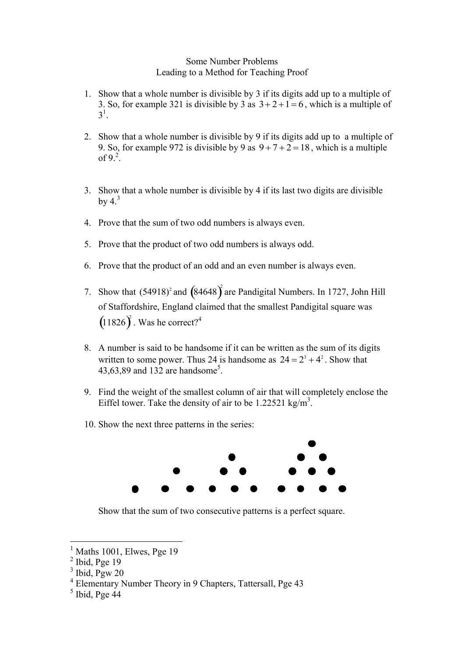## Some Number Problems Leading to a Method for Teaching Proof

- 1. Show that a whole number is divisible by 3 if its digits add up to a multiple of 3. So, for example 321 is divisible by 3 as  $3+2+1=6$ , which is a multiple of  $3^{1}$ .
- 2. Show that a whole number is divisible by 9 if its digits add up to a multiple of 9. So, for example 972 is divisible by 9 as  $9 + 7 + 2 = 18$ , which is a multiple of 9.<sup>2</sup>.
- 3. Show that a whole number is divisible by 4 if its last two digits are divisible by  $4<sup>3</sup>$
- 4. Prove that the sum of two odd numbers is always even.
- 5. Prove that the product of two odd numbers is always odd.
- 6. Prove that the product of an odd and an even number is always even.
- 7. Show that  $(54918)^2$  and  $(84648)^2$  are Pandigital Numbers. In 1727, John Hill of Staffordshire, England claimed that the smallest Pandigital square was  $(11826)^2$ . Was he correct?<sup>4</sup>
- 8. A number is said to be handsome if it can be written as the sum of its digits written to some power. Thus 24 is handsome as  $24 = 2^3 + 4^2$ . Show that 43,63,89 and 132 are handsome<sup>5</sup>.
- 9. Find the weight of the smallest column of air that will completely enclose the Eiffel tower. Take the density of air to be 1.22521 kg/m<sup>3</sup>.
- 10. Show the next three patterns in the series:



Show that the sum of two consecutive patterns is a perfect square.

 $\overline{a}$ 

Maths 1001, Elwes, Pge 19

 $<sup>2</sup>$  Ibid, Pge 19</sup>

 $3$  Ibid, Pgw 20

<sup>4</sup> Elementary Number Theory in 9 Chapters, Tattersall, Pge 43

 $<sup>5</sup>$  Ibid, Pge 44</sup>